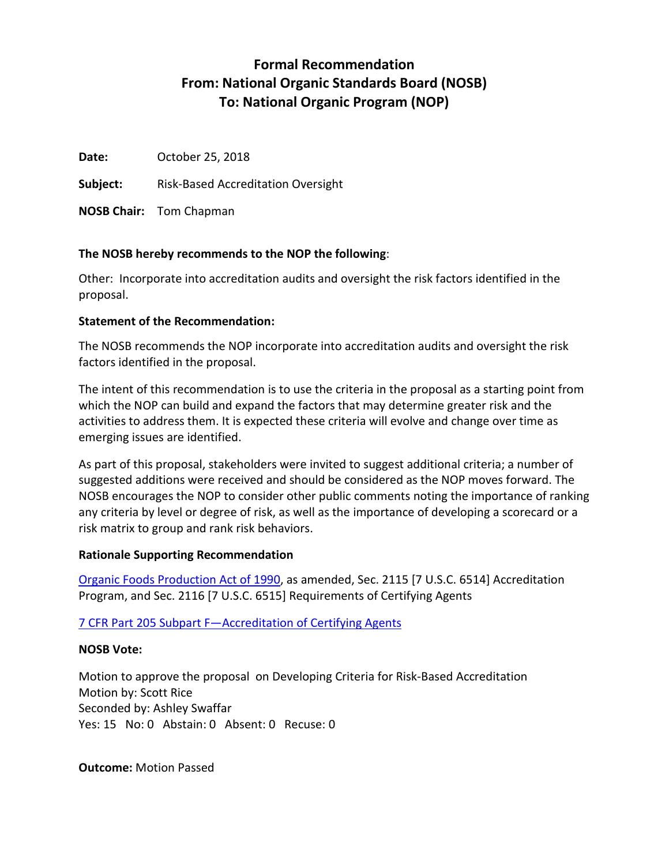# **Formal Recommendation From: National Organic Standards Board (NOSB) To: National Organic Program (NOP)**

**Date:** October 25, 2018

**Subject:** Risk-Based Accreditation Oversight

**NOSB Chair:** Tom Chapman

## **The NOSB hereby recommends to the NOP the following**:

Other: Incorporate into accreditation audits and oversight the risk factors identified in the proposal.

## **Statement of the Recommendation:**

The NOSB recommends the NOP incorporate into accreditation audits and oversight the risk factors identified in the proposal.

The intent of this recommendation is to use the criteria in the proposal as a starting point from which the NOP can build and expand the factors that may determine greater risk and the activities to address them. It is expected these criteria will evolve and change over time as emerging issues are identified.

As part of this proposal, stakeholders were invited to suggest additional criteria; a number of suggested additions were received and should be considered as the NOP moves forward. The NOSB encourages the NOP to consider other public comments noting the importance of ranking any criteria by level or degree of risk, as well as the importance of developing a scorecard or a risk matrix to group and rank risk behaviors.

## **Rationale Supporting Recommendation**

[Organic Foods Production Act of 1990,](https://www.ams.usda.gov/sites/default/files/media/Organic%20Foods%20Production%20Act%20of%201990%20(OFPA).pdf) as amended, Sec. 2115 [7 U.S.C. 6514] Accreditation Program, and Sec. 2116 [7 U.S.C. 6515] Requirements of Certifying Agents

[7 CFR Part 205 Subpart F—Accreditation of Certifying Agents](https://www.ecfr.gov/cgi-bin/text-idx?SID=6c5f4629aa2f1108f91c76da2979b470&mc=true&node=pt7.3.205&rgn=div5#sp7.3.205.f)

# **NOSB Vote:**

Motion to approve the proposal on Developing Criteria for Risk-Based Accreditation Motion by: Scott Rice Seconded by: Ashley Swaffar Yes: 15 No: 0 Abstain: 0 Absent: 0 Recuse: 0

**Outcome:** Motion Passed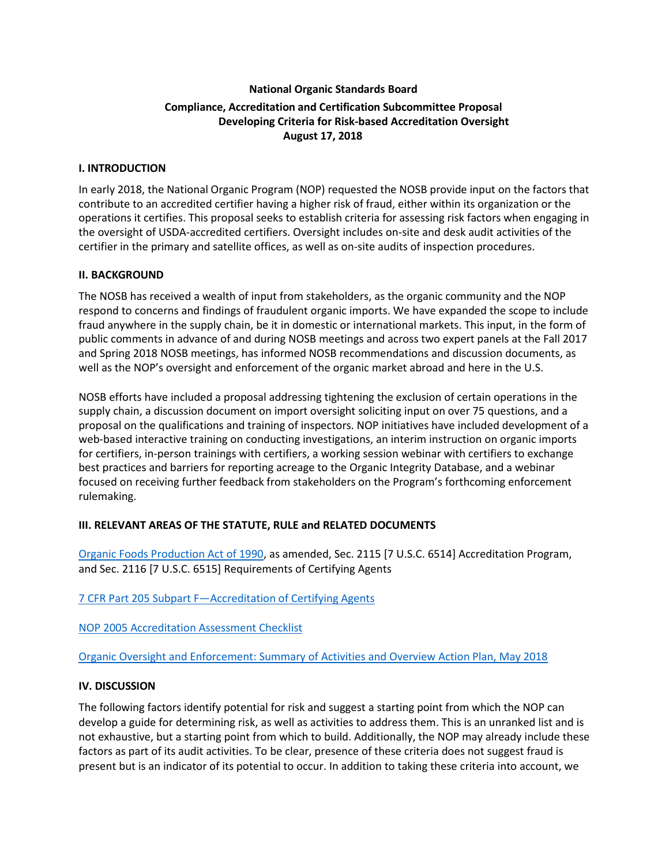# **National Organic Standards Board Compliance, Accreditation and Certification Subcommittee Proposal Developing Criteria for Risk-based Accreditation Oversight August 17, 2018**

### **I. INTRODUCTION**

In early 2018, the National Organic Program (NOP) requested the NOSB provide input on the factors that contribute to an accredited certifier having a higher risk of fraud, either within its organization or the operations it certifies. This proposal seeks to establish criteria for assessing risk factors when engaging in the oversight of USDA-accredited certifiers. Oversight includes on-site and desk audit activities of the certifier in the primary and satellite offices, as well as on-site audits of inspection procedures.

### **II. BACKGROUND**

The NOSB has received a wealth of input from stakeholders, as the organic community and the NOP respond to concerns and findings of fraudulent organic imports. We have expanded the scope to include fraud anywhere in the supply chain, be it in domestic or international markets. This input, in the form of public comments in advance of and during NOSB meetings and across two expert panels at the Fall 2017 and Spring 2018 NOSB meetings, has informed NOSB recommendations and discussion documents, as well as the NOP's oversight and enforcement of the organic market abroad and here in the U.S.

NOSB efforts have included a proposal addressing tightening the exclusion of certain operations in the supply chain, a discussion document on import oversight soliciting input on over 75 questions, and a proposal on the qualifications and training of inspectors. NOP initiatives have included development of a web-based interactive training on conducting investigations, an interim instruction on organic imports for certifiers, in-person trainings with certifiers, a working session webinar with certifiers to exchange best practices and barriers for reporting acreage to the Organic Integrity Database, and a webinar focused on receiving further feedback from stakeholders on the Program's forthcoming enforcement rulemaking.

## **III. RELEVANT AREAS OF THE STATUTE, RULE and RELATED DOCUMENTS**

[Organic Foods Production Act of 1990,](https://www.ams.usda.gov/sites/default/files/media/Organic%20Foods%20Production%20Act%20of%201990%20(OFPA).pdf) as amended, Sec. 2115 [7 U.S.C. 6514] Accreditation Program, and Sec. 2116 [7 U.S.C. 6515] Requirements of Certifying Agents

[7 CFR Part 205 Subpart F—Accreditation of Certifying Agents](https://www.ecfr.gov/cgi-bin/text-idx?SID=6c5f4629aa2f1108f91c76da2979b470&mc=true&node=pt7.3.205&rgn=div5#sp7.3.205.f)

[NOP 2005 Accreditation Assessment Checklist](http://www.ams.usda.gov/sites/default/files/media/2005.pdf)

[Organic Oversight and Enforcement: Summary of Activities and Overview Action Plan, May 2018](https://www.ams.usda.gov/sites/default/files/media/ActionUpdatePlanEnforcement.pdf)

### **IV. DISCUSSION**

The following factors identify potential for risk and suggest a starting point from which the NOP can develop a guide for determining risk, as well as activities to address them. This is an unranked list and is not exhaustive, but a starting point from which to build. Additionally, the NOP may already include these factors as part of its audit activities. To be clear, presence of these criteria does not suggest fraud is present but is an indicator of its potential to occur. In addition to taking these criteria into account, we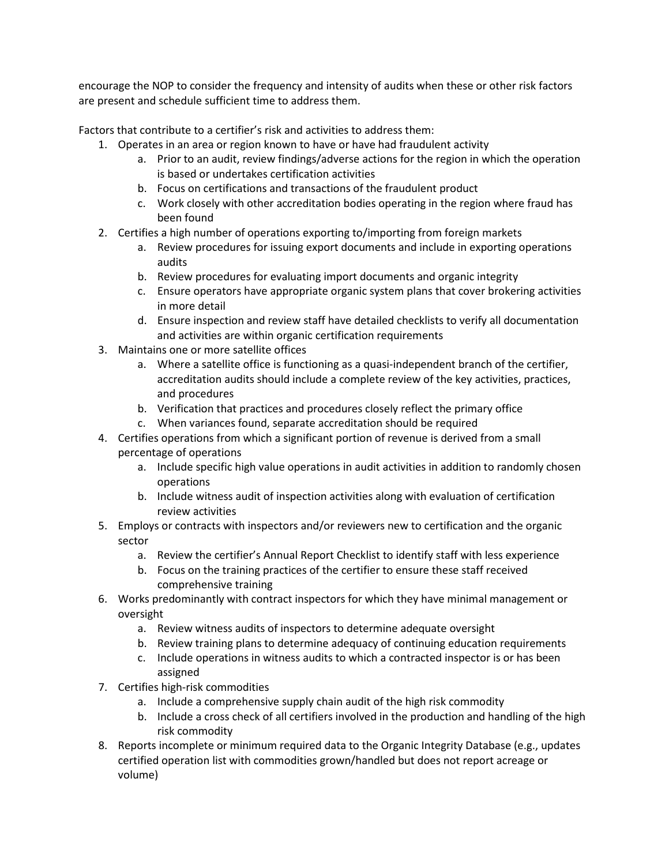encourage the NOP to consider the frequency and intensity of audits when these or other risk factors are present and schedule sufficient time to address them.

Factors that contribute to a certifier's risk and activities to address them:

- 1. Operates in an area or region known to have or have had fraudulent activity
	- a. Prior to an audit, review findings/adverse actions for the region in which the operation is based or undertakes certification activities
	- b. Focus on certifications and transactions of the fraudulent product
	- c. Work closely with other accreditation bodies operating in the region where fraud has been found
- 2. Certifies a high number of operations exporting to/importing from foreign markets
	- a. Review procedures for issuing export documents and include in exporting operations audits
	- b. Review procedures for evaluating import documents and organic integrity
	- c. Ensure operators have appropriate organic system plans that cover brokering activities in more detail
	- d. Ensure inspection and review staff have detailed checklists to verify all documentation and activities are within organic certification requirements
- 3. Maintains one or more satellite offices
	- a. Where a satellite office is functioning as a quasi-independent branch of the certifier, accreditation audits should include a complete review of the key activities, practices, and procedures
	- b. Verification that practices and procedures closely reflect the primary office
	- c. When variances found, separate accreditation should be required
- 4. Certifies operations from which a significant portion of revenue is derived from a small percentage of operations
	- a. Include specific high value operations in audit activities in addition to randomly chosen operations
	- b. Include witness audit of inspection activities along with evaluation of certification review activities
- 5. Employs or contracts with inspectors and/or reviewers new to certification and the organic sector
	- a. Review the certifier's Annual Report Checklist to identify staff with less experience
	- b. Focus on the training practices of the certifier to ensure these staff received comprehensive training
- 6. Works predominantly with contract inspectors for which they have minimal management or oversight
	- a. Review witness audits of inspectors to determine adequate oversight
	- b. Review training plans to determine adequacy of continuing education requirements
	- c. Include operations in witness audits to which a contracted inspector is or has been assigned
- 7. Certifies high-risk commodities
	- a. Include a comprehensive supply chain audit of the high risk commodity
	- b. Include a cross check of all certifiers involved in the production and handling of the high risk commodity
- 8. Reports incomplete or minimum required data to the Organic Integrity Database (e.g., updates certified operation list with commodities grown/handled but does not report acreage or volume)